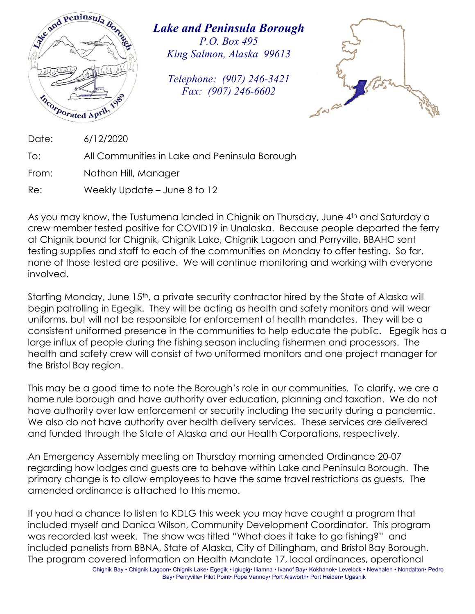

*Lake and Peninsula Borough P.O. Box 495 King Salmon, Alaska 99613* 

*Telephone: (907) 246-3421 Fax: (907) 246-6602* 



Date: 6/12/2020

To: All Communities in Lake and Peninsula Borough

From: Nathan Hill, Manager

Re: Weekly Update – June 8 to 12

As you may know, the Tustumena landed in Chignik on Thursday, June 4<sup>th</sup> and Saturday a crew member tested positive for COVID19 in Unalaska. Because people departed the ferry at Chignik bound for Chignik, Chignik Lake, Chignik Lagoon and Perryville, BBAHC sent testing supplies and staff to each of the communities on Monday to offer testing. So far, none of those tested are positive. We will continue monitoring and working with everyone involved.

Starting Monday, June 15<sup>th</sup>, a private security contractor hired by the State of Alaska will begin patrolling in Egegik. They will be acting as health and safety monitors and will wear uniforms, but will not be responsible for enforcement of health mandates. They will be a consistent uniformed presence in the communities to help educate the public. Egegik has a large influx of people during the fishing season including fishermen and processors. The health and safety crew will consist of two uniformed monitors and one project manager for the Bristol Bay region.

This may be a good time to note the Borough's role in our communities. To clarify, we are a home rule borough and have authority over education, planning and taxation. We do not have authority over law enforcement or security including the security during a pandemic. We also do not have authority over health delivery services. These services are delivered and funded through the State of Alaska and our Health Corporations, respectively.

An Emergency Assembly meeting on Thursday morning amended Ordinance 20-07 regarding how lodges and guests are to behave within Lake and Peninsula Borough. The primary change is to allow employees to have the same travel restrictions as guests. The amended ordinance is attached to this memo.

If you had a chance to listen to KDLG this week you may have caught a program that included myself and Danica Wilson, Community Development Coordinator. This program was recorded last week. The show was titled "What does it take to go fishing?" and included panelists from BBNA, State of Alaska, City of Dillingham, and Bristol Bay Borough. The program covered information on Health Mandate 17, local ordinances, operational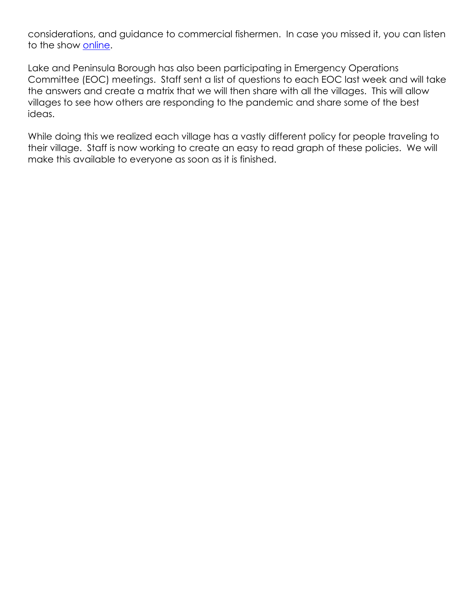considerations, and guidance to commercial fishermen. In case you missed it, you can listen to the show online.

Lake and Peninsula Borough has also been participating in Emergency Operations Committee (EOC) meetings. Staff sent a list of questions to each EOC last week and will take the answers and create a matrix that we will then share with all the villages. This will allow villages to see how others are responding to the pandemic and share some of the best ideas.

While doing this we realized each village has a vastly different policy for people traveling to their village. Staff is now working to create an easy to read graph of these policies. We will make this available to everyone as soon as it is finished.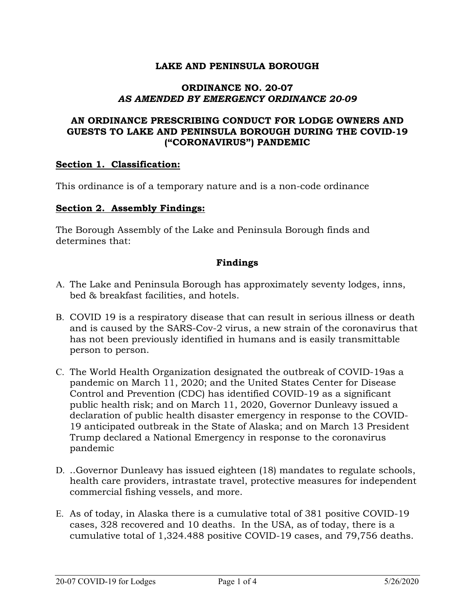## **LAKE AND PENINSULA BOROUGH**

### **ORDINANCE NO. 20-07**  *AS AMENDED BY EMERGENCY ORDINANCE 20-09*

## **AN ORDINANCE PRESCRIBING CONDUCT FOR LODGE OWNERS AND GUESTS TO LAKE AND PENINSULA BOROUGH DURING THE COVID-19 ("CORONAVIRUS") PANDEMIC**

## **Section 1. Classification:**

This ordinance is of a temporary nature and is a non-code ordinance

### **Section 2. Assembly Findings:**

The Borough Assembly of the Lake and Peninsula Borough finds and determines that:

## **Findings**

- A. The Lake and Peninsula Borough has approximately seventy lodges, inns, bed & breakfast facilities, and hotels.
- B. COVID 19 is a respiratory disease that can result in serious illness or death and is caused by the SARS-Cov-2 virus, a new strain of the coronavirus that has not been previously identified in humans and is easily transmittable person to person.
- C. The World Health Organization designated the outbreak of COVID-19as a pandemic on March 11, 2020; and the United States Center for Disease Control and Prevention (CDC) has identified COVID-19 as a significant public health risk; and on March 11, 2020, Governor Dunleavy issued a declaration of public health disaster emergency in response to the COVID-19 anticipated outbreak in the State of Alaska; and on March 13 President Trump declared a National Emergency in response to the coronavirus pandemic
- D. ..Governor Dunleavy has issued eighteen (18) mandates to regulate schools, health care providers, intrastate travel, protective measures for independent commercial fishing vessels, and more.
- E. As of today, in Alaska there is a cumulative total of 381 positive COVID-19 cases, 328 recovered and 10 deaths. In the USA, as of today, there is a cumulative total of 1,324.488 positive COVID-19 cases, and 79,756 deaths.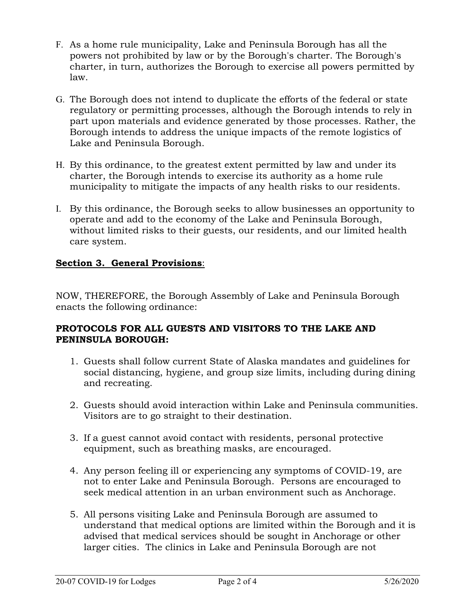- F. As a home rule municipality, Lake and Peninsula Borough has all the powers not prohibited by law or by the Borough's charter. The Borough's charter, in turn, authorizes the Borough to exercise all powers permitted by law.
- G. The Borough does not intend to duplicate the efforts of the federal or state regulatory or permitting processes, although the Borough intends to rely in part upon materials and evidence generated by those processes. Rather, the Borough intends to address the unique impacts of the remote logistics of Lake and Peninsula Borough.
- H. By this ordinance, to the greatest extent permitted by law and under its charter, the Borough intends to exercise its authority as a home rule municipality to mitigate the impacts of any health risks to our residents.
- I. By this ordinance, the Borough seeks to allow businesses an opportunity to operate and add to the economy of the Lake and Peninsula Borough, without limited risks to their guests, our residents, and our limited health care system.

# **Section 3. General Provisions**:

NOW, THEREFORE, the Borough Assembly of Lake and Peninsula Borough enacts the following ordinance:

# **PROTOCOLS FOR ALL GUESTS AND VISITORS TO THE LAKE AND PENINSULA BOROUGH:**

- 1. Guests shall follow current State of Alaska mandates and guidelines for social distancing, hygiene, and group size limits, including during dining and recreating.
- 2. Guests should avoid interaction within Lake and Peninsula communities. Visitors are to go straight to their destination.
- 3. If a guest cannot avoid contact with residents, personal protective equipment, such as breathing masks, are encouraged.
- 4. Any person feeling ill or experiencing any symptoms of COVID-19, are not to enter Lake and Peninsula Borough. Persons are encouraged to seek medical attention in an urban environment such as Anchorage.
- 5. All persons visiting Lake and Peninsula Borough are assumed to understand that medical options are limited within the Borough and it is advised that medical services should be sought in Anchorage or other larger cities. The clinics in Lake and Peninsula Borough are not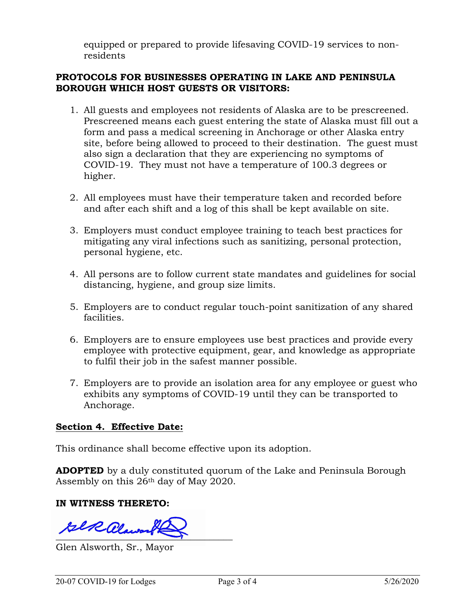equipped or prepared to provide lifesaving COVID-19 services to nonresidents

## **PROTOCOLS FOR BUSINESSES OPERATING IN LAKE AND PENINSULA BOROUGH WHICH HOST GUESTS OR VISITORS:**

- 1. All guests and employees not residents of Alaska are to be prescreened. Prescreened means each guest entering the state of Alaska must fill out a form and pass a medical screening in Anchorage or other Alaska entry site, before being allowed to proceed to their destination. The guest must also sign a declaration that they are experiencing no symptoms of COVID-19. They must not have a temperature of 100.3 degrees or higher.
- 2. All employees must have their temperature taken and recorded before and after each shift and a log of this shall be kept available on site.
- 3. Employers must conduct employee training to teach best practices for mitigating any viral infections such as sanitizing, personal protection, personal hygiene, etc.
- 4. All persons are to follow current state mandates and guidelines for social distancing, hygiene, and group size limits.
- 5. Employers are to conduct regular touch-point sanitization of any shared facilities.
- 6. Employers are to ensure employees use best practices and provide every employee with protective equipment, gear, and knowledge as appropriate to fulfil their job in the safest manner possible.
- 7. Employers are to provide an isolation area for any employee or guest who exhibits any symptoms of COVID-19 until they can be transported to Anchorage.

## **Section 4. Effective Date:**

This ordinance shall become effective upon its adoption.

**ADOPTED** by a duly constituted quorum of the Lake and Peninsula Borough Assembly on this 26th day of May 2020.

## **IN WITNESS THERETO:**

 $\frac{1}{2}$ 

Glen Alsworth, Sr., Mayor